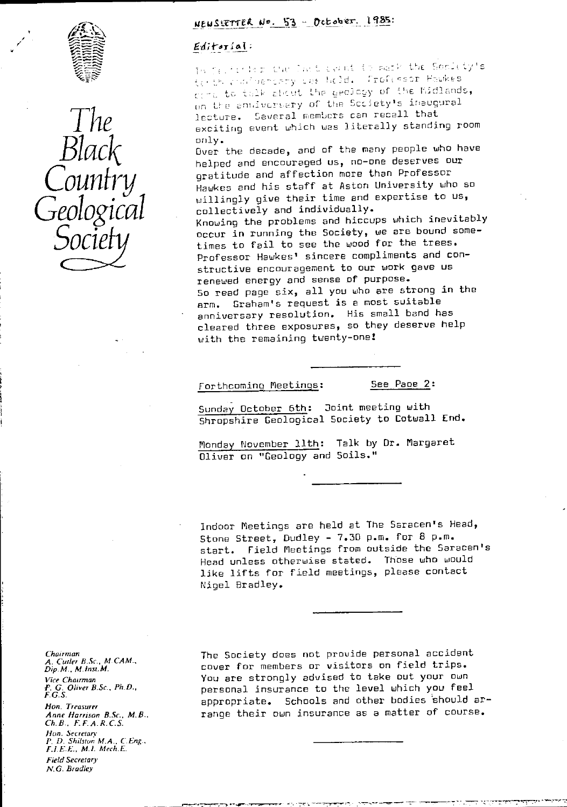



# NEUSLETTER No. 53 - October. 1985.

# $Editorial:$

In Centric Day Cart count to mark the Sonicty's that in the should be held. Trofessor Hawkes fort to talk about the geology of the Midlands, on the envivorsary of the Society's inaugural The acture. Several members can recall that<br>exciting event which was literally standing room

only.<br>Over the decade, and of the many people who have  $\mathcal{BUACK}$  Diver the decade, and of the many people who have have the decade, and of the many people who have Country stratitude and affection more than Professor<br>Hawkes and his staff at Aston University who so willingly give their time and expertise to us,<br>collectively and individually.

GEOLOGICAL collectively and individually.<br>Knowing the problems and hiccups which inevitably Society occur in running the Society, we are bound some-<br>Society times to fail to see the wood for the trees. Professor Hawkes' sincere compliments and constructive encouragement to our work gave us renewed energy and sense of purpose. So read page six, all you who are strong in the arm. Graham's request is a most suitable anniversary resolution. His small band has cleared three exposures, so they deserve help with the remaining twenty-one!

Forthcoming Meetings: 5ee Page 2:

Sunday October 6th: Joint meeting with Shropshire Geological Society to Cotwall End.

Monday November 11th: Talk by Dr. Margaret Oliver an "Geology and Soils."

Indoor Meetings are held at The Saracen's Head, Stone Street, Dudley - 7.30 p.m. for 8 p.m. start. Field Meetings from outside the Saracen's Head unless otherwise stated. Those who would like lifts for field meetings, please contact Nigel Bradley.

Chairman<br>A. Culler B.Sc., M.CAM.,<br>Dip.M., M.Inst.M. Vice *Chairman* F. G. *Oliver B.Sc.. Ph.D.,* F.G.S. *Hon. Treasurer Anne Harrison B.Sc., M.B., Ch. B., F F. A. R. C.S.* Hon. lecrefurc *P. D.* Shilsrur M.A., *CEng.. F.I.E.E., M.I. Mech.E. Field Secretary' N.G. Bradley,*

The Society does not provide personal accident cover for members or visitors on field trips. You are strongly advised to take out your own personal insurance to the level which you feel appropriate. Schools and other bodies should arrange their own insurance as a matter of course.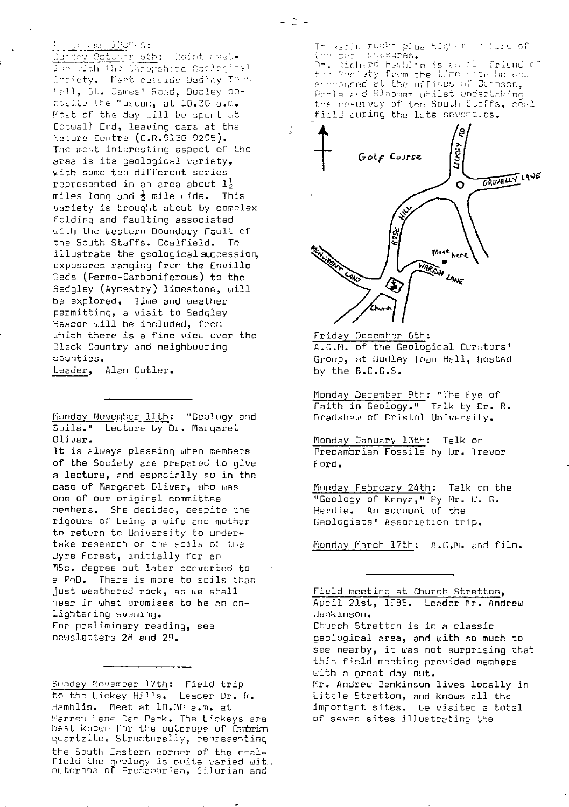### Physical American

Sunday Octobre 6th: Goint mesting with the Duropshire Saclogical<br>Coclety. Meet cutside Dudley Town Hall, St. James' Road, Dudley opposite the Mussum, at 10.30 a.m. Most of the day will be spent at Cotuall End, leaving cars at the I <sup>h</sup>:ature Centre (G.R.9130 9295). The most interesting aspect of the area is its geological variety, with some ten different series represented in an area about  $1\frac{1}{2}$ miles long and  $\frac{1}{2}$  mile wide. This variety is brought about by complex folding and faulting associated with the Western Boundary Fault of the South Staffs. Coalfield. To illustrate the geological succession, exposures ranging from the Enville Reds (Permo-Carboniferous) to the Sedgley (Aymestry) limestone, will be explored. Time and weather permitting, a visit to Sedgley Beacon will be included, from which there is a fine view over the Black Country and neighbouring counties.

Leader, Alan Cutler.

Monday November 11th: "Geology and Soils." Lecture by Dr. Margaret Oliver.

It is always pleasing when members of the Society are prepared to give a lecture, and especially so in the case of Margaret Oliver, who was one of our original committee members. She decided, despite the rigours of being a wife and mother to return to University to undertake research on the soils of the Lyre Forest, initially for an MSc. degree but later converted to a PhD. There is more to soils than just weathered rock, as we shall hear in what promises to he an enlightening evening. For preliminary reading, see newsletters 28 and 29.

Sunday November 17th: Field trip to the Lickey Hills. Leader Dr. R. Hamblin. Meet at 10.30 a.m. at Warren Lane Car Park. The Lickeys are hest known for the outcrops of Canaria quartzite. Structurally, representing the South Eastern corner of the ccalfield the geology is quite varied with<br>outcrops of Precambrian, Silurian and Á

Tri sain rocks plus higher wollers of r. Richard Hamblin is an old frienc enconced at the offices of Bohnson, Prole and Bloomer whilst und the resurvey of the South Staffs. coal field during the late seventies.



Friday December 6th : F.G.M. of the Geological Curators' Group, at Dudley Town Hall, hosted by the B.C.G.S.

Monday December 9th: "The Eye of Faith in Geology." Talk by Dr. R. Bradshaw of Bristol University.

Monday January 13th: Talk on Precambrian Fossils by Dr. Trevor Ford.

Monday February 24th: Talk on the "Goology of Kenya," By Mr. W. G. Hardie. An account of the Geologists' Association trip.

Monday March 17th: A.G.M. and film.

Field meeting at Church Stretton, April 21st, 1985. Leader Mr. Andrew Jonkinson.

Church Stretton is in a classic geological area, and with so much to see nearby, it was not surprising that this field meeting provided members with a great day out.

Mr. Andrew Jenkinson lives locally in Little Stretton, and knows all the important sites. We visited a total of seven sites illustrating the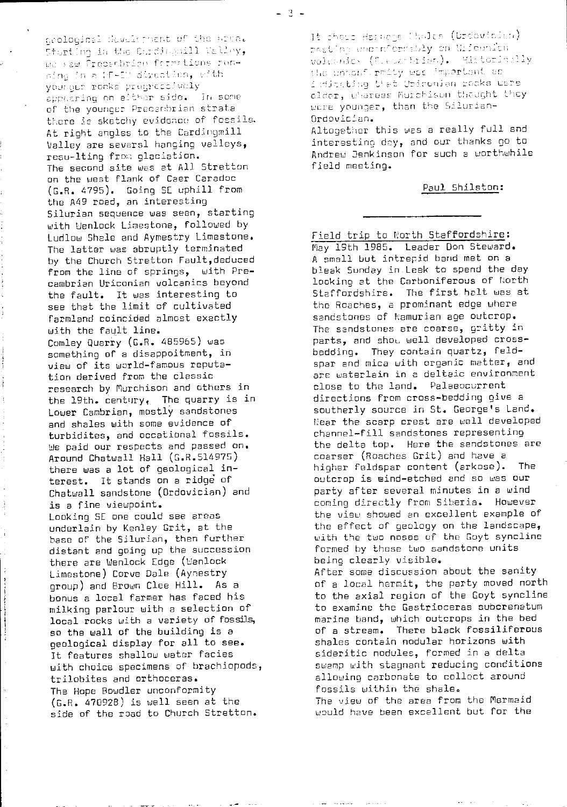acolociasi development of the area. Starting in the Cardingsill Nalley, we saw Precentrice formstions runping in a WF-EW direction, with vounder recks progressively applaring on either side. In some of the younger Precembrian strata there is sketchy evidence of fossils. At right angles to the Cardingmill Valley are seversl hanging valleys, resu-lting from glaciation. The second site was at All Stretton on the west flank of Caer Caradoc (G.R. 4795). Going SE uphill from the A49 road, an interesting Silurian sequence was seen, starting with Wenlock Limestone, followed by Ludlow Shale and Aymestry Limestone. The latter was abruptly terminated by the Church Stretton Fault, deduced from the line of springs, with Precambrian Uriconian volcanics beyond the fault. It was interesting to see that the limit of cultivated farmland coincided almost exactly with the fault line. Comley Quarry (G.R. 485965) was something of a disappoitment, in view of its world-famous reputation derived from the classic research by Murchison and others in the 19th, century. The quarry is in Lower Cambrian, mostly sandstones and shales with some evidence of turbidites, and occational fossils. We paid our respects and passed on. Around Chatwall Hall (G.R.514975) there was a lot of geological interest. It stands on a ridge of Chatwall sandstone (Ordovician) and is a fine viewpoint. Looking SE one could see areas underlain by Kenley Grit, at the base of the Silurian, then further distant and going up the succession there are Wenlock Edge (Wenlock Limestone) Corve Dale (Aynestry group) and Brown Clee Hill. As a bonus a local farmer has faced his milking parlour with a selection of local rocks with a variety of fossils, so the wall of the building is a geological display for all to see. It features shallow water facies with choice specimens of brachiopods, trilobites and orthoceras. The Hope Bowdler unconformity  $(G.R. 470928)$  is well seen at the side of the road to Church Stretton.

It those Harnege Choles (Ordewicles) rasting upoinformsbly on Uricunion volumnic (Trepartrien). Historiably the untenformity was important as indenting that Upiconian rocks were alder, whereas Murchison thought they were younger, than the Silurian-Ordovician.

Altogether this was a really full and interesting day, and our thanks go to Andrew Benkinson for such a worthwhile field meeting.

#### Paul Shilston:

Field trip to North Staffordshire: May 19th 1985. Leader Don Steward. A small but intrepid band met on a bleak Sunday in Leek to spend the day looking at the Carboniferous of North Staffordshire. The first halt was at the Roaches, a prominant edge where sandstones of Namurian age outcrop. The sandstones are coarse, gritty in parts, and show well developed crossbedding. They contain quartz, feldspar and mica with organic matter, and are waterlain in a deltaic environment close to the land. Palaeocurrent directions from cross-bedding give a southerly source in St. George's Land. Near the scarp crest are well developed channel-fill sandstones representing the delta top. Here the sandstones are coarser (Roaches Grit) and have a higher feldspar content (arkose). The outcrop is wind-etched and so was our party after several minutes in a wind coming directly from Siberia. However the view showed an excellent example of the effect of geology on the landscape, with the two noses of the Goyt syncline formed by these two sandstone units being clearly visible. After some discussion about the sanity of a local hermit, the party moved north

to the axial region of the Goyt syncline to examine the Gastrioceras subcrenatum marine band, which outcrops in the bed of a stream. There black fossiliferous shales contain nodular horizons with sideritic nodules, formed in a delta swamp with stagnant reducing conditions allowing carbonate to collect around fossils within the shale.

The view of the area from the Mermaid would have been excellent but for the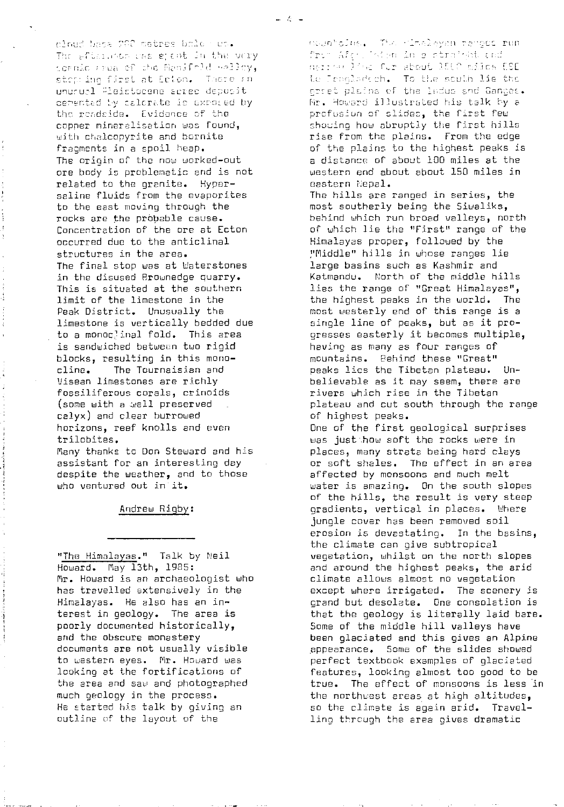cloud base 200 metres bale wes. The eftermon was spent in the very toenic greateful che Manifold welley, stop ine first at Ecton. There an unurual Pleistocene seree deposit cerented by calorate is exposed by the readside. Evidence of the copper mineralisation was found, with chalcopyrite and bornite fragments in a spoil heap. The origin of the now worked-out ore body is problematic and is not related to the granite. Hypersaline fluids from the evaporites to the east moving through the rocks are the probable cause. Concentration of the ore at Ecton occurred due to the anticlinal structures in the area. The final stop was at Waterstones in the disused Brownedge quarry. This is situated at the southern limit of the limestone in the Peak District. Unusually the limestone is vertically bedded due to a monoclinal fold. This area is sandwiched between two rigid blocks, resulting in this mono-The Tournaisian and cline. Visean limestones are richly fossiliferous corals, crinoids (some with a well preserved calyx) and clear burrowed horizons, reef knolls and even trilobites.

j.

Many thanks to Don Steward and his assistant for an interesting day despite the weather, and to those who ventured out in it.

#### Andrew Rigby:

"The Himalayas." Talk by Neil Howard. May 13th, 1985: Mr. Howard is an archaeologist who has travelled extensively in the Himalayas. He also has an interest in geology. The area is poorly documented historically, and the obscure monastery documents are not usually visible to western eyes. Mr. Howard was looking at the fortifications of the area and saw and photographed much geology in the process. He started his talk by giving an outline of the layout of the

neenholds. The rimeleyen ranges run - From Afgricisten in e straight end nerrouling for shout lite miles ESE te Translaction. To the south lie the erret plains of the ladus and Ganges. Mr. Howard illustrated his talk by a profusion of slides, the first few showing how abruptly the first hills rise from the pleins. From the edge of the plains to the highest peaks is a distance of about 100 miles at the western end about about 150 miles in eastern Nebal. The hills are ranged in series, the most southerly being the Siwaliks, behind which run broad valleys, north of which lie the "First" range of the Himalayas proper, followed by the "Middle" hills in whose ranges lie large basins such as Kashmir and Katmandu. North of the middle hills lies the range of "Great Himalayas", the highest peaks in the world. The most westerly end of this range is a single line of peaks, but as it progresses easterly it becomes multiple, having as many as four ranges of mountains. Behind these "Great" peaks lies the Tibetan plateau. Unbelievable as it may seem, there are rivers which rise in the Tibetan plateau and cut south through the range of highest peaks. One of the first geological surprises was just how soft the rocks were in places, many strata being hard clays or soft shales. The effect in an area affected by monsoons and much melt water is amazing. On the south slopes of the hills, the result is very steep gradients, vertical in places. Where jungle cover has been removed soil erosion is devastating. In the basins, the climate can give subtropical vegetation, whilst on the north slopes and around the highest peaks, the arid climate allows almost no vegetation except where irrigated. The scenery is grand but desolate. One consolation is that the geology is literally laid bare. Some of the middle hill valleys have been glaciated and this gives an Alpine appearance. Some of the slides showed perfect textbook examples of glaciated features, looking almost too good to be true. The effect of monsoons is less in the northwest areas at high altitudes, so the climate is again arid. Travelling through the area gives dramatic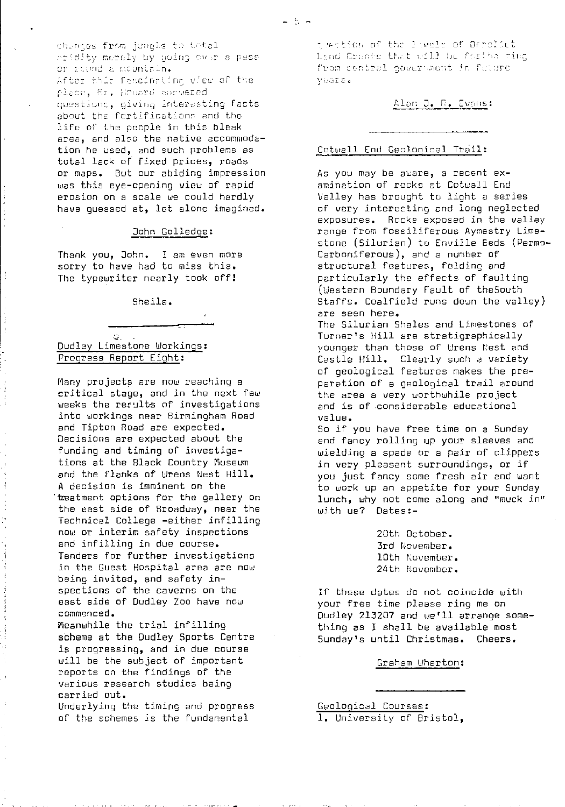chemics from jumple to tatal ridity merely by quing ower a pass or ruand a mountain.<br>After this fascinatins view of the place, Mr. Houard annuared questions, giving interesting facts about the fortifications and the life of the people in this bleak area, and also the native accommodation he used, and such problems as total lack of fixed prices, roads or maps. But our abiding impression was this eye-opening view of rapid erosion on a scale we could hardly have guessed at, let alone imagined.

#### John Golledge :

Thank you, John. I am even more sorry to have had to miss this. The typewriter nearly took off!

Sheila.

#### $G$ . Dudley Limestone Workings: Progress Report Eight :

Many projects are now reaching a critical stage, and in the next few weeks the results of investigations into workings near Birmingham Road and Tipton Road are expected. Decisions are expected about the funding and timing of investigations at the Black Country Museum and the flanks of Wrens Nest Hill. A decision is imminent on the treatment options for the gallery on the east side of Broadway, near the Technical College -either infilling now or interim safety inspections and infilling in due course. Tenders for further investigations in the Guest Hospital area are now being invited, and safety inspections of the caverns on the east side of Dudley Zoo have now commenced.

Meanwhile the trial infilling scheme at the Dudley Sports Centre is progressing, and in due course will be the subject of important reports on the findings of the various research studies being carried out.

Underlying the timing and progress of the schemes is the fundamental

odestion of the lawels of Derelict tend Crante that will be fariba ring from central government in future VUGIS.

Alan J. R. Evans:

#### Cotwell End Ceslooical Trail:

As you may be aware, a recent examination of rocks at Cotwall End Valley has brought to light a series of very interesting and long neglected exposures. Rocks exposed in the valley range from fossiliferous Aymestry Limestone (Silurian) to Enville Eeds (Permo-Carboniferous), and a number of structural features, folding and particularly the effects of faulting (Western Boundary Fault of theSouth Staffs. Coalfield runs down the valley) are seen here. The Silurian Shales and Limestones of Turner's Hill are stratigraphicelly younger than those of Wrens Nest and Castle Hill. Clearly such e variety of geological features makes the preparation of a geological trail around the area a very worthwhile project and is of considerable educational value. So if you have free time on a Sunday and fancy rolling up your sleeves and wie ${\tt l}$ ding a spade or a pair of clippers

in very pleasant surroundings, or if you just fancy some fresh air and want to work up an appetite for your Sunday lunch, why not come along and "muck in" with us? Dates:-

> 20th October. 3rd November. 10th November. 24th November.

If these dates de not coincide with your free time please ring me on Dudley 213207 and we'll arrange something as I shall be available most Sunday's until Christmas. Cheers.

Graham Wharton :

Geological Courses : 1. University of Bristol,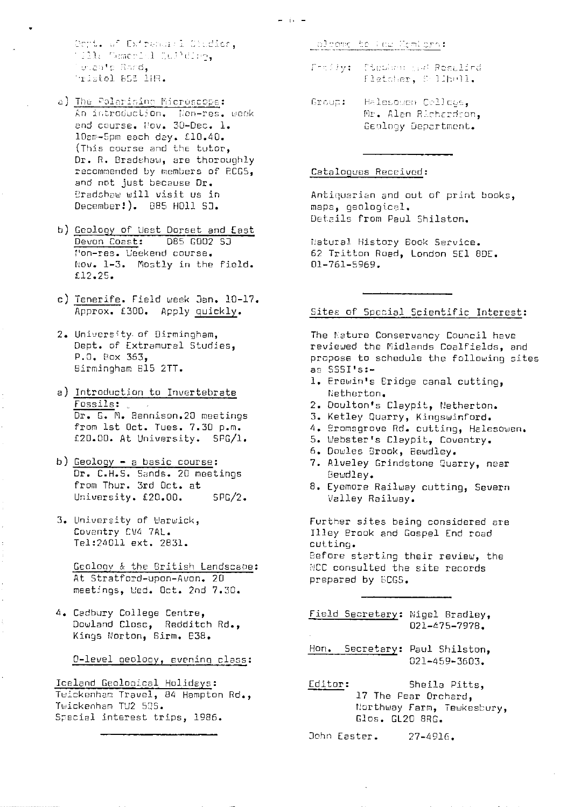Dept. of Extramonia Studier,<br>1911: Demerici Sulldrey, unante Rord, "ristol 855 lHR.

- a) The Polarising Microscope: An introduction. Non-res. week 10am-5pm each day. £10.40. (This course and the tutor, Dr. R. Bradshaw, are thoroughly recommended by members of RCGS, and not just because Dr. Bradshaw will visit us in December!). 885 HOll SJ.
- b) Geology of West Dorset and East Mon-res. Weekend course. Nov. 1-3. Mostly in the field.  $$12.25.$
- c) Tenerife. Field week Jan. 10-17. Approx. £300. Apply quickly.
- 2. University of Birmingham, Dept. of Extramural Studies, P.O. Box 363, Birmingham B15 2TT.
- a) Introduction to Invertebrate Fossils: (2007)<br>Dr. G. M. Bennison.20 meetings from 1st Oct. Tues. 7.30 p.m. £20.00. At University. SPG/1.
- b) Geology a basic course: Dr. C.H.S. Sands. 20 meetings from Thur. 3rd Oct. at University. £20.00.  $SPG/2$ .
- 3. University of Warwick, Coventry CV4 7AL. Tel:24011 ext. 2831.

Geology & the British Landscape: At Stratford-upon-Avon. 20 meetings, Wed. Oct. 2nd 7.30.

4. Cadbury College Centre, Dowland Close, Redditch Rd., Kings Norton, Birm. 838.

O-level geology, evening class:

Iceland Geological Holidays:<br>Twickenham Travel, 84 Hampton Rd., Twickenham TU2 50S. Special interest trips, 1986.

alcome to Faw Monters:

- Fordly: Cleshon and Resulind fletcher, S.11h011.
- Group: Halesowen Crllegs, Mr. Alen Richardson. Geology Department.

#### Catalogues Received:

Antiquarian and out of print books, maps, geological. Details from Paul Shilston.

Natural History Book Service.<br>62 Tritton Road, London SE1 8DE.  $01 - 761 - 5969.$ 

# Sites of Special Scientific Interest:

The Nature Conservancy Council have reviewed the Midlands Coalfields, and propose to schedule the following sites as SSSI's:-

- 1. Erewin's Eridge canal cutting, Netherton.
- 2. Doulton's Claypit, Netherton.
- 3. Ketley Quarry, Kingswinford.
- 4. Promsgrove Rd. cutting, Halesowen.
- 5. Webster's Claypit, Coventry.
- 6. Dowles Brook, Bewdley.
- 7. Alveley Grindstone Quarry, near Bewdley.
- 8. Eyemore Railway cutting, Severn Valley Railway.

Further sites being considered are Illey Prook and Gospel End road cutting. Before starting their review, the

NCC consulted the site records prepared by ECGS.

Field Secretary: Nigel Bradley,  $021 - 475 - 7978.$ 

Hon. Secretary: Paul Shilston, 021-459-3603.

Editor: Sheila Pitts, 17 The Pear Orchard, Northway Farm, Tewkesbury, Glos. GL20 8RG.

John Easter.  $27 - 4916.$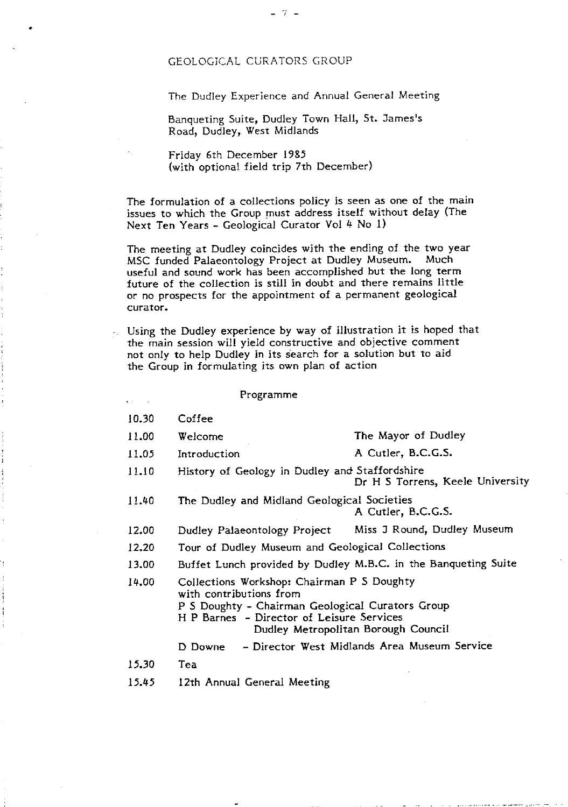# GEOLOGICAL CURATORS GROUP

The Dudley Experience and Annual General Meeting

Banqueting Suite, Dudley Town Hall, St. James's Road, Dudley,. West Midlands

 $7 -$ 

Friday 6th December 1985 (with optional field trip 7th December)

The formulation of a collections policy is seen as one of the main issues to which the Group must address itself without delay (The Next Ten Years - Geological Curator Vol 4 No 1)

The meeting at Dudley coincides with the ending of the two year<br>MSC funded Palaeontology Project at Dudley Museum. Much MSC funded Palaeontology Project at Dudley Museum. useful and sound work has been accomplished but the long term future of the collection is still in doubt and there remains little or no prospects for the appointment of a permanent geological curator.

Using the Dudley experience by way of illustration it is hoped that the main session will yield constructive and objective comment not only to help Dudley in its search for a solution but to aid the Group in formulating its own plan of action

| Programme |  |
|-----------|--|
|-----------|--|

- 10.30 Coffee
- 11.00 Welcome The Mayor of Dudley
- 11.05 Introduction A Cutler, B.C.G.S.
- 11.10 History of Geology in Dudley and Staffordshire Dr H S Torrens, Keele University
- 11.40 The Dudley and Midland Geological Societies A Cutler, B.C.G.S.
- 12.00 Dudley Palaeontology Project Miss J Round, Dudley Museum
- 12.20 Tour of Dudley Museum and Geological Collections
- 13.00 Buffet Lunch provided by Dudley M.B.C. in the Banqueting Suite

14.00 Collections Workshop: Chairman P 5 Doughty with contributions from

- P S Doughty Chairman Geological Curators Group
	- H P Barnes Director of Leisure Services

# Dudley Metropolitan Borough Council

D Downe - Director West Midlands Area Museum Service

- *15.30* Tea
- *15.45* 12th Annual General Meeting